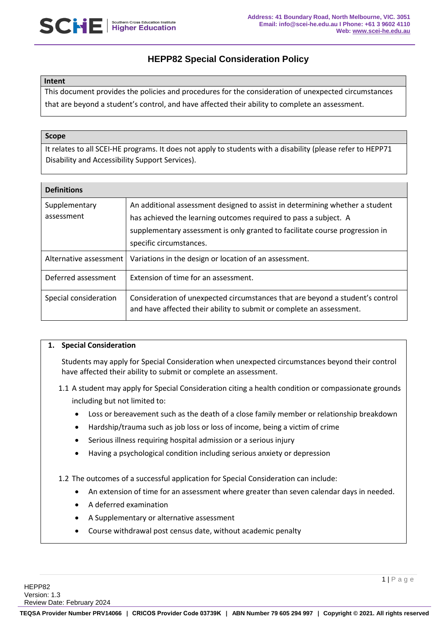

# **HEPP82 Special Consideration Policy**

### **Intent**

This document provides the policies and procedures for the consideration of unexpected circumstances that are beyond a student's control, and have affected their ability to complete an assessment.

#### **Scope**

It relates to all SCEI-HE programs. It does not apply to students with a disability (please refer to HEPP71 Disability and Accessibility Support Services).

| <b>Definitions</b>          |                                                                                                                                                                                                                                                             |
|-----------------------------|-------------------------------------------------------------------------------------------------------------------------------------------------------------------------------------------------------------------------------------------------------------|
| Supplementary<br>assessment | An additional assessment designed to assist in determining whether a student<br>has achieved the learning outcomes required to pass a subject. A<br>supplementary assessment is only granted to facilitate course progression in<br>specific circumstances. |
| Alternative assessment      | Variations in the design or location of an assessment.                                                                                                                                                                                                      |
| Deferred assessment         | Extension of time for an assessment.                                                                                                                                                                                                                        |
| Special consideration       | Consideration of unexpected circumstances that are beyond a student's control<br>and have affected their ability to submit or complete an assessment.                                                                                                       |

### **1. Special Consideration**

Students may apply for Special Consideration when unexpected circumstances beyond their control have affected their ability to submit or complete an assessment.

- 1.1 A student may apply for Special Consideration citing a health condition or compassionate grounds including but not limited to:
	- Loss or bereavement such as the death of a close family member or relationship breakdown
	- Hardship/trauma such as job loss or loss of income, being a victim of crime
	- Serious illness requiring hospital admission or a serious injury
	- Having a psychological condition including serious anxiety or depression

1.2 The outcomes of a successful application for Special Consideration can include:

- An extension of time for an assessment where greater than seven calendar days in needed.
- A deferred examination
- A Supplementary or alternative assessment
- Course withdrawal post census date, without academic penalty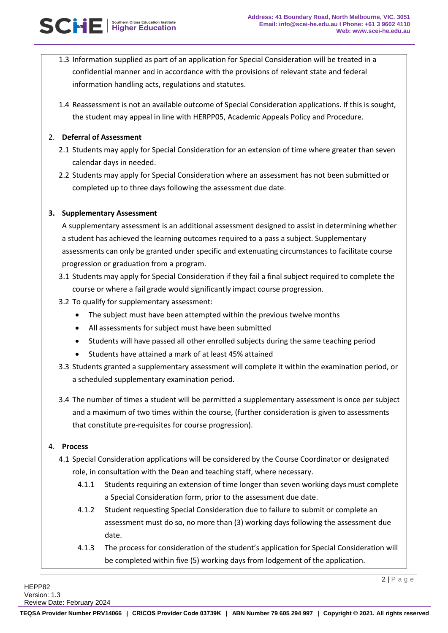- 1.3 Information supplied as part of an application for Special Consideration will be treated in a confidential manner and in accordance with the provisions of relevant state and federal information handling acts, regulations and statutes.
- 1.4 Reassessment is not an available outcome of Special Consideration applications. If this is sought, the student may appeal in line with HERPP05, Academic Appeals Policy and Procedure.

## 2. **Deferral of Assessment**

- 2.1 Students may apply for Special Consideration for an extension of time where greater than seven calendar days in needed.
- 2.2 Students may apply for Special Consideration where an assessment has not been submitted or completed up to three days following the assessment due date.

# **3. Supplementary Assessment**

A supplementary assessment is an additional assessment designed to assist in determining whether a student has achieved the learning outcomes required to a pass a subject. Supplementary assessments can only be granted under specific and extenuating circumstances to facilitate course progression or graduation from a program.

- 3.1 Students may apply for Special Consideration if they fail a final subject required to complete the course or where a fail grade would significantly impact course progression.
- 3.2 To qualify for supplementary assessment:
	- The subject must have been attempted within the previous twelve months
	- All assessments for subject must have been submitted
	- Students will have passed all other enrolled subjects during the same teaching period
	- Students have attained a mark of at least 45% attained
- 3.3 Students granted a supplementary assessment will complete it within the examination period, or a scheduled supplementary examination period.
- 3.4 The number of times a student will be permitted a supplementary assessment is once per subject and a maximum of two times within the course, (further consideration is given to assessments that constitute pre-requisites for course progression).

### 4. **Process**

- 4.1 Special Consideration applications will be considered by the Course Coordinator or designated role, in consultation with the Dean and teaching staff, where necessary.
	- 4.1.1 Students requiring an extension of time longer than seven working days must complete a Special Consideration form, prior to the assessment due date.
	- 4.1.2 Student requesting Special Consideration due to failure to submit or complete an assessment must do so, no more than (3) working days following the assessment due date.
	- 4.1.3 The process for consideration of the student's application for Special Consideration will be completed within five (5) working days from lodgement of the application.